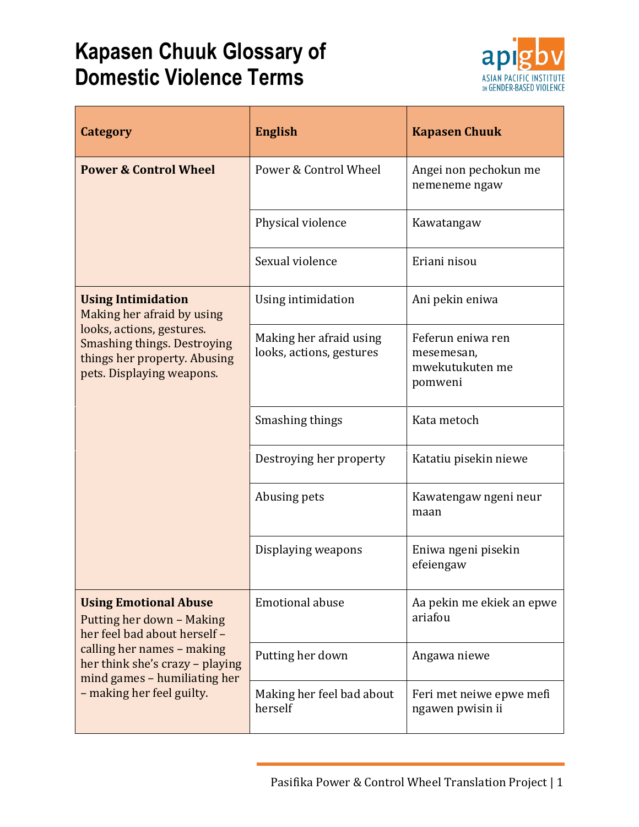## **Kapasen Chuuk Glossary of Domestic Violence Terms**



| Category                                                                                                                                                                                                                | <b>English</b>                                      | <b>Kapasen Chuuk</b>                                          |
|-------------------------------------------------------------------------------------------------------------------------------------------------------------------------------------------------------------------------|-----------------------------------------------------|---------------------------------------------------------------|
| <b>Power &amp; Control Wheel</b>                                                                                                                                                                                        | Power & Control Wheel                               | Angei non pechokun me<br>nemeneme ngaw                        |
|                                                                                                                                                                                                                         | Physical violence                                   | Kawatangaw                                                    |
|                                                                                                                                                                                                                         | Sexual violence                                     | Eriani nisou                                                  |
| <b>Using Intimidation</b><br>Making her afraid by using<br>looks, actions, gestures.<br><b>Smashing things. Destroying</b><br>things her property. Abusing<br>pets. Displaying weapons.                                 | Using intimidation                                  | Ani pekin eniwa                                               |
|                                                                                                                                                                                                                         | Making her afraid using<br>looks, actions, gestures | Feferun eniwa ren<br>mesemesan,<br>mwekutukuten me<br>pomweni |
|                                                                                                                                                                                                                         | Smashing things                                     | Kata metoch                                                   |
|                                                                                                                                                                                                                         | Destroying her property                             | Katatiu pisekin niewe                                         |
|                                                                                                                                                                                                                         | Abusing pets                                        | Kawatengaw ngeni neur<br>maan                                 |
|                                                                                                                                                                                                                         | Displaying weapons                                  | Eniwa ngeni pisekin<br>efeiengaw                              |
| <b>Using Emotional Abuse</b><br>Putting her down - Making<br>her feel bad about herself -<br>calling her names - making<br>her think she's crazy - playing<br>mind games - humiliating her<br>- making her feel guilty. | <b>Emotional abuse</b>                              | Aa pekin me ekiek an epwe<br>ariafou                          |
|                                                                                                                                                                                                                         | Putting her down                                    | Angawa niewe                                                  |
|                                                                                                                                                                                                                         | Making her feel bad about<br>herself                | Feri met neiwe epwe mefi<br>ngawen pwisin ii                  |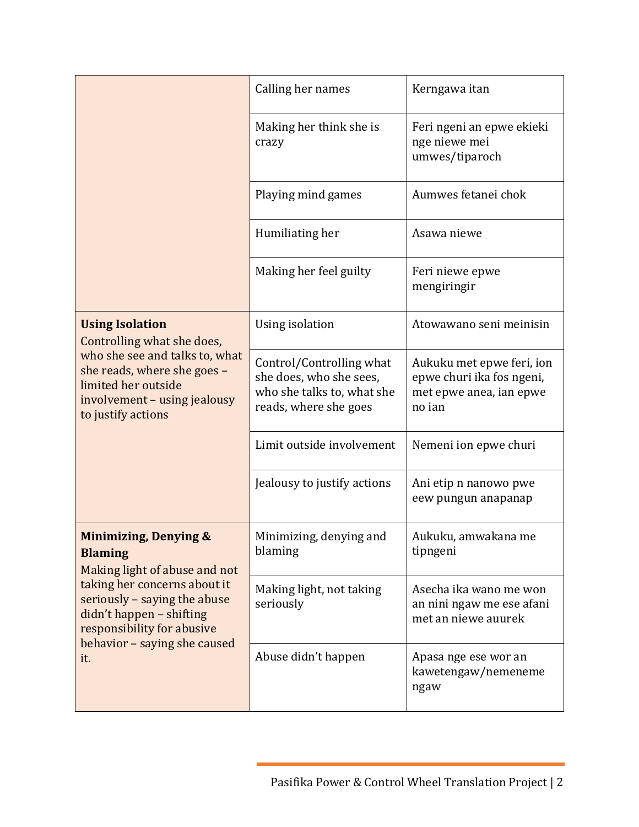|                                                                                                                                                                                                                                                      | Calling her names                                                                                          | Kerngawa itan                                                                               |
|------------------------------------------------------------------------------------------------------------------------------------------------------------------------------------------------------------------------------------------------------|------------------------------------------------------------------------------------------------------------|---------------------------------------------------------------------------------------------|
|                                                                                                                                                                                                                                                      | Making her think she is<br>crazy                                                                           | Feri ngeni an epwe ekieki<br>nge niewe mei<br>umwes/tiparoch                                |
|                                                                                                                                                                                                                                                      | Playing mind games                                                                                         | Aumwes fetanei chok                                                                         |
|                                                                                                                                                                                                                                                      | Humiliating her                                                                                            | Asawa niewe                                                                                 |
|                                                                                                                                                                                                                                                      | Making her feel guilty                                                                                     | Feri niewe epwe<br>mengiringir                                                              |
| <b>Using Isolation</b><br>Controlling what she does,<br>who she see and talks to, what<br>she reads, where she goes -<br>limited her outside<br>involvement - using jealousy<br>to justify actions                                                   | Using isolation                                                                                            | Atowawano seni meinisin                                                                     |
|                                                                                                                                                                                                                                                      | Control/Controlling what<br>she does, who she sees,<br>who she talks to, what she<br>reads, where she goes | Aukuku met epwe feri, ion<br>epwe churi ika fos ngeni,<br>met epwe anea, ian epwe<br>no ian |
|                                                                                                                                                                                                                                                      | Limit outside involvement                                                                                  | Nemeni ion epwe churi                                                                       |
|                                                                                                                                                                                                                                                      | Jealousy to justify actions                                                                                | Ani etip n nanowo pwe<br>eew pungun anapanap                                                |
| <b>Minimizing, Denying &amp;</b><br><b>Blaming</b><br>Making light of abuse and not<br>taking her concerns about it<br>seriously - saying the abuse<br>didn't happen - shifting<br>responsibility for abusive<br>behavior - saying she caused<br>it. | Minimizing, denying and<br>blaming                                                                         | Aukuku, amwakana me<br>tipngeni                                                             |
|                                                                                                                                                                                                                                                      | Making light, not taking<br>seriously                                                                      | Asecha ika wano me won<br>an nini ngaw me ese afani<br>met an niewe auurek                  |
|                                                                                                                                                                                                                                                      | Abuse didn't happen                                                                                        | Apasa nge ese wor an<br>kawetengaw/nemeneme<br>ngaw                                         |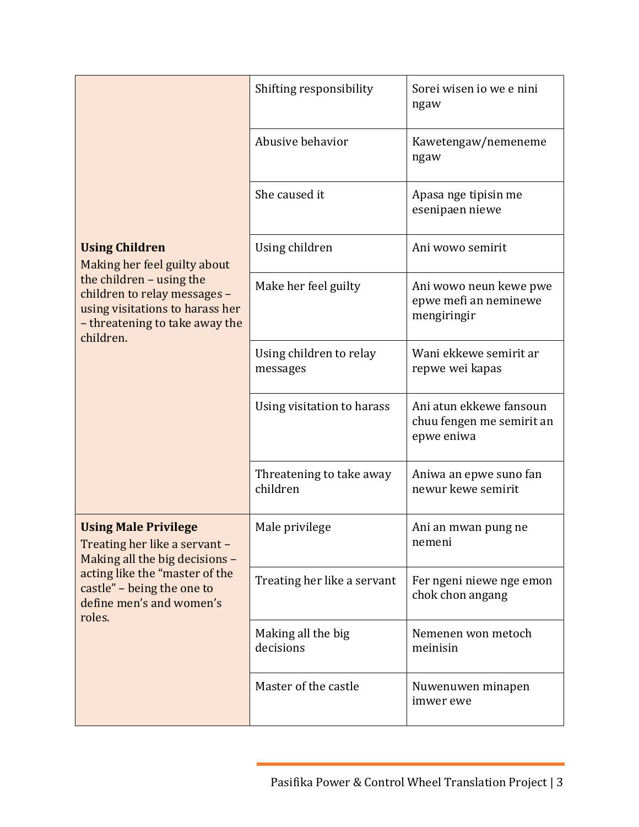|                                                                                                                                                                                                      | Shifting responsibility              | Sorei wisen io we e nini<br>ngaw                                   |
|------------------------------------------------------------------------------------------------------------------------------------------------------------------------------------------------------|--------------------------------------|--------------------------------------------------------------------|
|                                                                                                                                                                                                      | Abusive behavior                     | Kawetengaw/nemeneme<br>ngaw                                        |
|                                                                                                                                                                                                      | She caused it                        | Apasa nge tipisin me<br>esenipaen niewe                            |
| <b>Using Children</b><br>Making her feel guilty about<br>the children - using the<br>children to relay messages -<br>using visitations to harass her<br>- threatening to take away the<br>children.  | Using children                       | Ani wowo semirit                                                   |
|                                                                                                                                                                                                      | Make her feel guilty                 | Ani wowo neun kewe pwe<br>epwe mefi an neminewe<br>mengiringir     |
|                                                                                                                                                                                                      | Using children to relay<br>messages  | Wani ekkewe semirit ar<br>repwe wei kapas                          |
|                                                                                                                                                                                                      | Using visitation to harass           | Ani atun ekkewe fansoun<br>chuu fengen me semirit an<br>epwe eniwa |
|                                                                                                                                                                                                      | Threatening to take away<br>children | Aniwa an epwe suno fan<br>newur kewe semirit                       |
| <b>Using Male Privilege</b><br>Treating her like a servant -<br>Making all the big decisions -<br>acting like the "master of the<br>castle" – being the one to<br>define men's and women's<br>roles. | Male privilege                       | Ani an mwan pung ne<br>nemeni                                      |
|                                                                                                                                                                                                      | Treating her like a servant          | Fer ngeni niewe nge emon<br>chok chon angang                       |
|                                                                                                                                                                                                      | Making all the big<br>decisions      | Nemenen won metoch<br>meinisin                                     |
|                                                                                                                                                                                                      | Master of the castle                 | Nuwenuwen minapen<br>imwer ewe                                     |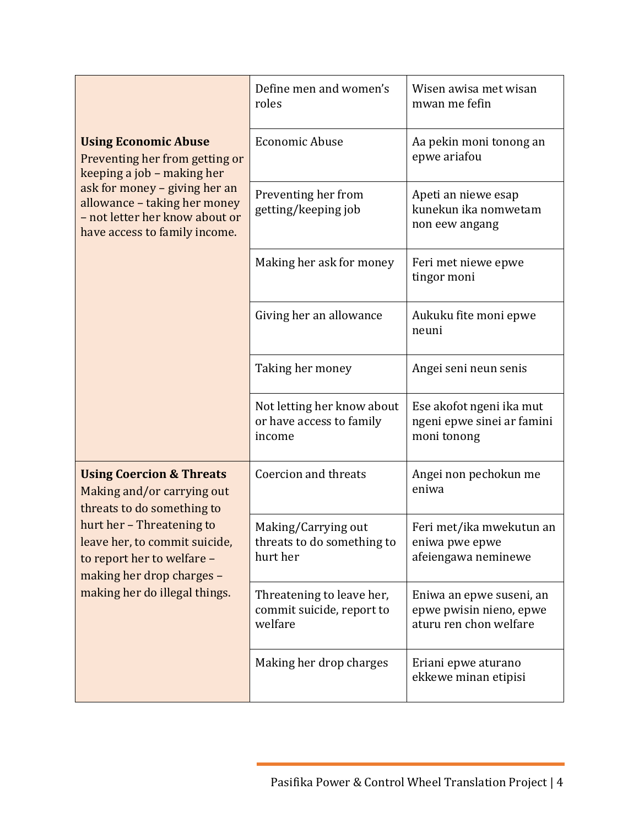|                                                                                                                                                                                                                                                           | Define men and women's<br>roles                                   | Wisen awisa met wisan<br>mwan me fefin                                        |
|-----------------------------------------------------------------------------------------------------------------------------------------------------------------------------------------------------------------------------------------------------------|-------------------------------------------------------------------|-------------------------------------------------------------------------------|
| <b>Using Economic Abuse</b><br>Preventing her from getting or<br>keeping a job - making her<br>ask for money - giving her an<br>allowance - taking her money<br>- not letter her know about or<br>have access to family income.                           | <b>Economic Abuse</b>                                             | Aa pekin moni tonong an<br>epwe ariafou                                       |
|                                                                                                                                                                                                                                                           | Preventing her from<br>getting/keeping job                        | Apeti an niewe esap<br>kunekun ika nomwetam<br>non eew angang                 |
|                                                                                                                                                                                                                                                           | Making her ask for money                                          | Feri met niewe epwe<br>tingor moni                                            |
|                                                                                                                                                                                                                                                           | Giving her an allowance                                           | Aukuku fite moni epwe<br>neuni                                                |
|                                                                                                                                                                                                                                                           | Taking her money                                                  | Angei seni neun senis                                                         |
|                                                                                                                                                                                                                                                           | Not letting her know about<br>or have access to family<br>income  | Ese akofot ngeni ika mut<br>ngeni epwe sinei ar famini<br>moni tonong         |
| <b>Using Coercion &amp; Threats</b><br>Making and/or carrying out<br>threats to do something to<br>hurt her - Threatening to<br>leave her, to commit suicide,<br>to report her to welfare -<br>making her drop charges -<br>making her do illegal things. | Coercion and threats                                              | Angei non pechokun me<br>eniwa                                                |
|                                                                                                                                                                                                                                                           | Making/Carrying out<br>threats to do something to<br>hurt her     | Feri met/ika mwekutun an<br>eniwa pwe epwe<br>afeiengawa neminewe             |
|                                                                                                                                                                                                                                                           | Threatening to leave her,<br>commit suicide, report to<br>welfare | Eniwa an epwe suseni, an<br>epwe pwisin nieno, epwe<br>aturu ren chon welfare |
|                                                                                                                                                                                                                                                           | Making her drop charges                                           | Eriani epwe aturano<br>ekkewe minan etipisi                                   |